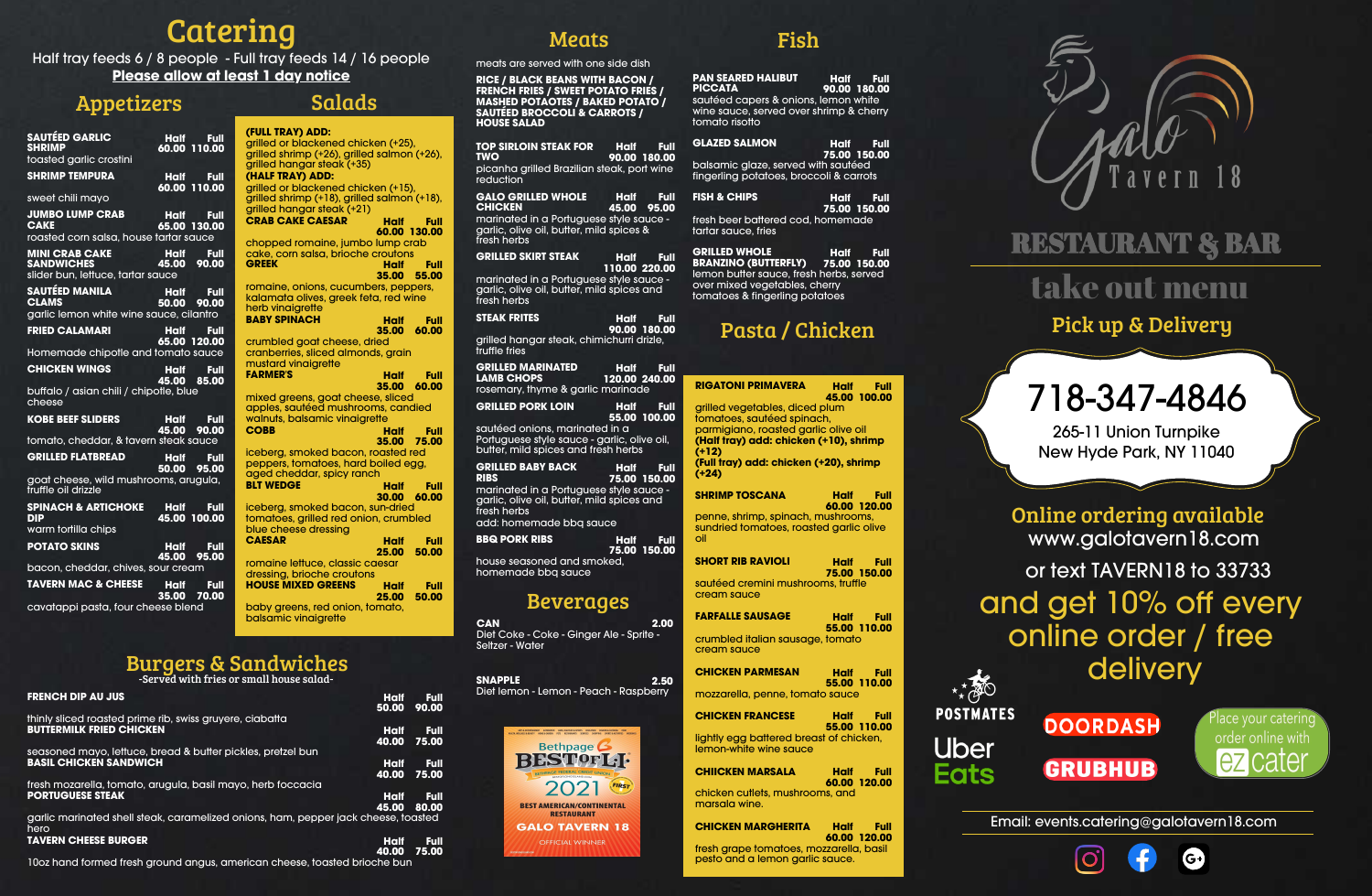## RESTAURANT & BAR

Email: events.catering@galotavern18.com







## Catering

# 718-347-4846

265-11 Union Turnpike New Hyde Park, NY 11040

| <b>SAUTÉED GARLIC</b><br><b>SHRIMP</b><br>toasted garlic crostini               | <b>Half</b><br><b>Full</b><br>60.00 110.00   | (FULL TRAY) /<br>grilled or blad<br>grilled shrimp                    |
|---------------------------------------------------------------------------------|----------------------------------------------|-----------------------------------------------------------------------|
| <b>SHRIMP TEMPURA</b>                                                           | <b>Half</b><br><b>Full</b><br>60.00 110.00   | grilled hango<br>(HALF TRAY)<br>grilled or blad                       |
| sweet chili mayo                                                                |                                              | grilled shrimp                                                        |
| <b>JUMBO LUMP CRAB</b><br><b>CAKE</b>                                           | <b>Half</b><br><b>Full</b><br>65.00 130.00   | grilled hango<br><b>CRAB CAKE (</b>                                   |
| roasted corn salsa, house tartar sauce                                          |                                              | chopped ron                                                           |
| <b>MINI CRAB CAKE</b><br><b>SANDWICHES</b><br>slider bun, lettuce, tartar sauce | <b>Half</b><br>Full<br>45.00<br>90.00        | cake, corn sc<br><b>GREEK</b>                                         |
| SAUTÉED MANILA<br><b>CLAMS</b><br>garlic lemon white wine sauce, cilantro       | <b>Half</b><br>Full<br>50.00<br>90.00        | romaine, onid<br>kalamata oliy<br>herb vinaigre<br><b>BABY SPINAC</b> |
| <b>FRIED CALAMARI</b>                                                           | Half<br>Full<br>65.00 120.00                 | crumbled go                                                           |
| Homemade chipotle and tomato sauce                                              |                                              | cranberries, s                                                        |
| <b>CHICKEN WINGS</b>                                                            | <b>Half</b><br>Full<br>45.00<br>85.00        | mustard vina<br><b>FARMER'S</b>                                       |
| buffalo / asian chili / chipotle, blue<br>cheese                                |                                              | mixed greens<br>apples, sauté                                         |
| <b>KOBE BEEF SLIDERS</b>                                                        | <b>Half</b><br><b>Full</b><br>45.00<br>90.00 | walnuts, bals<br><b>COBB</b>                                          |
| tomato, cheddar, & tavern steak sauce                                           |                                              |                                                                       |
| <b>GRILLED FLATBREAD</b>                                                        | <b>Half</b><br><b>Full</b><br>50.00<br>95.00 | iceberg, smo<br>peppers, tom<br>aged chedd                            |
| goat cheese, wild mushrooms, arugula,<br>truffle oil drizzle                    |                                              | <b>BLT WEDGE</b>                                                      |
| <b>SPINACH &amp; ARTICHOKE</b><br><b>DIP</b>                                    | <b>Half</b><br>Full<br>45.00 100.00          | iceberg, smo<br>tomatoes, gri                                         |
| warm tortilla chips                                                             |                                              | blue cheese<br><b>CAESAR</b>                                          |
| <b>POTATO SKINS</b>                                                             | <b>Half</b><br><b>Full</b><br>45.00<br>95.00 | romaine lettu                                                         |
| bacon, cheddar, chives, sour cream                                              |                                              | dressing, brio                                                        |
| <b>TAVERN MAC &amp; CHEESE</b>                                                  | <b>Half</b><br><b>Full</b><br>35.00<br>70.00 | <b>HOUSE MIXED</b>                                                    |
| cavatappi pasta, four cheese blend                                              |                                              | baby greens,<br>balsamic vine                                         |

Half tray feeds 6 / 8 people - Full tray feeds 14 / 16 people **Please allow at least 1 day notice**

> rce, classic caesar oche croutons **H**OUSERS Half **25.00 Full 50.00**

red onion, tomato, aiarette

### Appetizers

**GLAZED SALMON 75.00 Full 150.00**

| (FULL TRAY) ADD:                                                  |       |
|-------------------------------------------------------------------|-------|
| grilled or blackened chicken (+25),                               |       |
| grilled shrimp (+26), grilled salmon (+26),                       |       |
| grilled hangar steak (+35)                                        |       |
| (HALF TRAY) ADD:                                                  |       |
| grilled or blackened chicken (+15),                               |       |
| grilled shrimp (+18), grilled salmon (+18),                       |       |
| grilled hangar steak (+21)                                        |       |
| <b>CRAB CAKE CAESAR</b><br>Half                                   | Full  |
| 60.00 130.00                                                      |       |
| chopped romaine, jumbo lump crab                                  |       |
| cake, corn salsa, brioche croutons                                |       |
| <b>GREEK</b><br>Half                                              | Full  |
| 35.00                                                             | 55.00 |
| romaine, onions, cucumbers, peppers,                              |       |
| kalamata olives, greek feta, red wine                             |       |
| herb vinaigrette                                                  |       |
| <b>BABY SPINACH</b><br>Half                                       | Full  |
| 35.00                                                             | 60.00 |
| crumbled goat cheese, dried<br>cranberries, sliced almonds, grain |       |
| mustard vinaigrette                                               |       |
| <b>FARMER'S</b><br>Half                                           | Full  |
| 35.00                                                             | 60.00 |
| mixed greens, goat cheese, sliced                                 |       |
| apples, sautéed mushrooms, candied                                |       |
| walnuts, balsamic vinaigrette                                     |       |
| <b>COBB</b><br>Half                                               | Full  |
| 35.00                                                             | 75.00 |
| iceberg, smoked bacon, roasted red                                |       |
| peppers, tomatoes, hard boiled egg,                               |       |
| aged cheddar, spicy ranch                                         |       |
| <b>BLT WEDGE</b><br>Half                                          | Full  |
| 30.00                                                             | 60.00 |
| iceberg, smoked bacon, sun-dried                                  |       |
| tomatoes, grilled red onion, crumbled                             |       |
| blue cheese dressing                                              |       |
| <b>CAESAR</b><br>Half                                             | Full  |
| 25.00                                                             | 50.00 |

Salads

| <b>FRENCH DIP AU JUS</b>                                                                     | <b>Half</b><br>50.00 | <b>Full</b><br>90.00 |
|----------------------------------------------------------------------------------------------|----------------------|----------------------|
| thinly sliced roasted prime rib, swiss gruyere, ciabatta                                     |                      |                      |
| <b>BUTTERMILK FRIED CHICKEN</b>                                                              | <b>Half</b><br>40.00 | Full<br>75.00        |
| seasoned mayo, lettuce, bread & butter pickles, pretzel bun<br><b>BASIL CHICKEN SANDWICH</b> |                      |                      |
|                                                                                              | Half<br>40.00        | <b>Full</b><br>75.00 |
| fresh mozarella, tomato, arugula, basil mayo, herb foccacia<br><b>PORTUGUESE STEAK</b>       | <b>Half</b><br>45.00 | <b>Full</b><br>80.00 |
| garlic marinated shell steak, caramelized onions, ham, pepper jack cheese, toasted<br>hero.  |                      |                      |
| <b>TAVERN CHEESE BURGER</b>                                                                  | <b>Half</b><br>40.00 | <b>Full</b><br>75.00 |

10oz hand formed fresh ground angus, american cheese, toasted brioche bun

### **Meats**

### Burgers & Sandwiches

| PAN SEARED HALIBUT                                                                                | Half Full    |
|---------------------------------------------------------------------------------------------------|--------------|
| <b>PICCATA</b>                                                                                    | 90.00 180.00 |
| sautéed capers & onions, lemon white<br>wine sauce, served over shrimp & cherry<br>tomato risotto |              |

balsamic glaze, served with sautéed fingerling potatoes, broccoli & carrots

| FISH & CHIPS                      | Half Full    |
|-----------------------------------|--------------|
|                                   | 75.00 150.00 |
| fresh beer battered cod. homemade |              |
| tartar sauce. fries               |              |

**GRILLED WHOLE BRANZINO (BUTTERFLY) Half 75.00 Full 150.00** lemon butter sauce, fresh herbs, served over mixed vegetables, cherry tomatoes & fingerling potatoes

**(+12)**

**(+24)**

oi

| <b>RIGATONI PRIMAVERA</b>                                                      | Half<br>Full<br>45.00 100.00        |
|--------------------------------------------------------------------------------|-------------------------------------|
| grilled vegetables, diced plum                                                 |                                     |
| tomatoes, sautéed spinach,                                                     |                                     |
| parmigiano, roasted garlic olive oil<br>(Half tray) add: chicken (+10), shrimp |                                     |
| (+12)                                                                          |                                     |
| (Full tray) add: chicken (+20), shrimp                                         |                                     |
| $(1 - 24)$                                                                     |                                     |
| <b>SHRIMP TOSCANA</b>                                                          | <b>Half</b><br>Full<br>60.00 120.00 |
| penne, shrimp, spinach, mushrooms,                                             |                                     |
| sundried tomatoes, roasted garlic olive<br>oil                                 |                                     |
| <b>SHORT RIB RAVIOLI</b>                                                       | <b>Half</b><br>Full                 |
| sautéed cremini mushrooms, truffle                                             | 75.00 150.00                        |
| cream sauce                                                                    |                                     |
|                                                                                |                                     |
| <b>FARFALLE SAUSAGE</b>                                                        | <b>Half</b><br>Full<br>55.00 110.00 |
| crumbled italian sausage, tomato                                               |                                     |
| cream sauce                                                                    |                                     |
| <b>CHICKEN PARMESAN</b>                                                        | <b>Half</b><br>Full                 |
|                                                                                | 55.00 110.00                        |
| mozzarella, penne, tomato sauce                                                |                                     |
| <b>CHICKEN FRANCESE</b>                                                        | <b>Half</b><br>Full                 |
|                                                                                | 55.00 110.00                        |
| lightly egg battered breast of chicken,<br>lemon-white wine sauce              |                                     |
| <b>CHIICKEN MARSALA</b>                                                        | Half<br>Full                        |
|                                                                                | 60.00 120.00                        |

chicken cutlets, mushrooms, and marsala wine.

**CHICKEN MARGHERITA Half 60.00 120.00 Full** fresh grape tomatoes, mozzarella, basil pesto and a lemon garlic sauce.





### Fish

### Pasta / Chicken

meats are served with one side dish

**RICE / BLACK BEANS WITH BACON / FRENCH FRIES / SWEET POTATO FRIES / MASHED POTAOTES / BAKED POTATO / SAUTÉED BROCCOLI & CARROTS / HOUSE SALAD**

**TOP SIRLOIN STEAK FOR TWO Half Full 90.00 180.00** picanha grilled Brazilian steak, port wine **reduction GALO GRILLED WHOLE CHICKEN Half 45.00 Full 95.00** marinated in a Portuguese style sauce garlic, olive oil, butter, mild spices & fresh herbs **GRILLED SKIRT STEAK Half 110.00 220.00 Full** marinated in a Portuguese style sauce garlic, olive oil, butter, mild spices and fresh herbs **STEAK FRITES 90.00 Full 180.00** grilled hangar steak, chimichurri drizle, truffle fries **GRILLED MARINATED LAMB CHOPS Half 120.00 240.00 Full** rosemary, thyme & garlic marinade

**GRILLED PORK LOIN Half 55.00 100.00 Full** sautéed onions, marinated in a Portuguese style sauce - garlic, olive oil, butter, mild spices and fresh herbs

**GRILLED BABY BACK RIBS Half 75.00 150.00 Full** marinated in a Portuguese style sauce garlic, olive oil, butter, mild spices and fresh herbs add: homemade bbq sauce

**BBQ PORK RIBS Half 75.00 150.00 Full** house seasoned and smoked, homemade bbq sauce

### take out menu

**CAN 2.00** Diet Coke - Coke - Ginger Ale - Sprite - Seltzer - Water

-Served with fries or small house salad-

### www.galotavern18.com Online ordering available

or text TAVERN18 to 33733

### Beverages

**SNAPPLE 2.50** Diet lemon - Lemon - Peach - Raspberry



and get 10% off every online order / free delivery







Pick up & Delivery